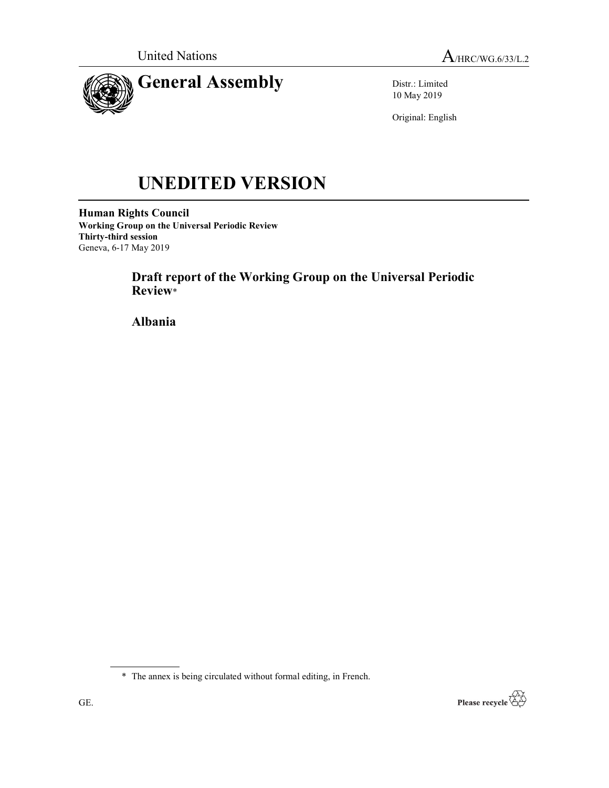

Distr.: Limited 10 May 2019

Original: English

# UNEDITED VERSION

Human Rights Council Working Group on the Universal Periodic Review Thirty-third session Geneva, 6-17 May 2019

> Draft report of the Working Group on the Universal Periodic Review\*

Albania

\* The annex is being circulated without formal editing, in French.

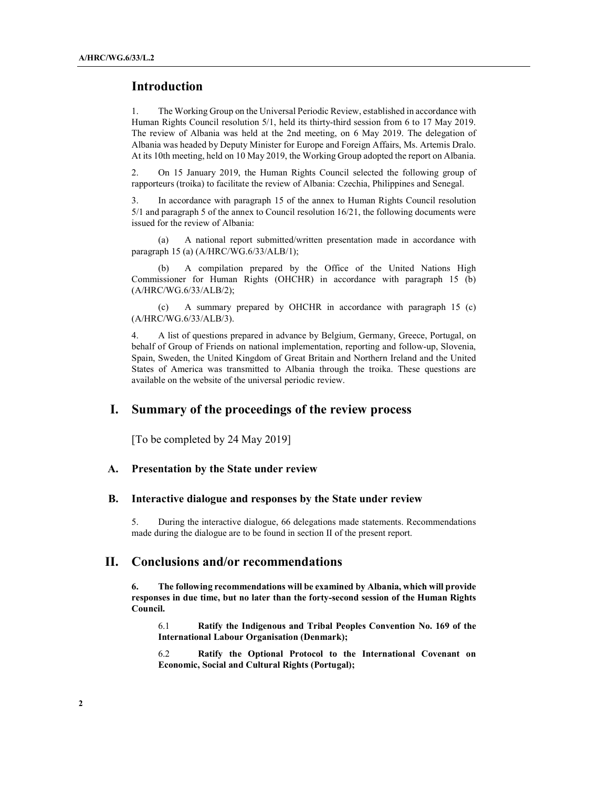## Introduction

1. The Working Group on the Universal Periodic Review, established in accordance with Human Rights Council resolution 5/1, held its thirty-third session from 6 to 17 May 2019. The review of Albania was held at the 2nd meeting, on 6 May 2019. The delegation of Albania was headed by Deputy Minister for Europe and Foreign Affairs, Ms. Artemis Dralo. At its 10th meeting, held on 10 May 2019, the Working Group adopted the report on Albania.

2. On 15 January 2019, the Human Rights Council selected the following group of rapporteurs (troika) to facilitate the review of Albania: Czechia, Philippines and Senegal.

3. In accordance with paragraph 15 of the annex to Human Rights Council resolution 5/1 and paragraph 5 of the annex to Council resolution 16/21, the following documents were issued for the review of Albania:

 (a) A national report submitted/written presentation made in accordance with paragraph 15 (a) (A/HRC/WG.6/33/ALB/1);

A compilation prepared by the Office of the United Nations High Commissioner for Human Rights (OHCHR) in accordance with paragraph 15 (b) (A/HRC/WG.6/33/ALB/2);

 (c) A summary prepared by OHCHR in accordance with paragraph 15 (c) (A/HRC/WG.6/33/ALB/3).

4. A list of questions prepared in advance by Belgium, Germany, Greece, Portugal, on behalf of Group of Friends on national implementation, reporting and follow-up, Slovenia, Spain, Sweden, the United Kingdom of Great Britain and Northern Ireland and the United States of America was transmitted to Albania through the troika. These questions are available on the website of the universal periodic review.

## I. Summary of the proceedings of the review process

[To be completed by 24 May 2019]

#### A. Presentation by the State under review

#### B. Interactive dialogue and responses by the State under review

5. During the interactive dialogue, 66 delegations made statements. Recommendations made during the dialogue are to be found in section II of the present report.

### II. Conclusions and/or recommendations

6. The following recommendations will be examined by Albania, which will provide responses in due time, but no later than the forty-second session of the Human Rights Council.

6.1 Ratify the Indigenous and Tribal Peoples Convention No. 169 of the International Labour Organisation (Denmark);

6.2 Ratify the Optional Protocol to the International Covenant on Economic, Social and Cultural Rights (Portugal);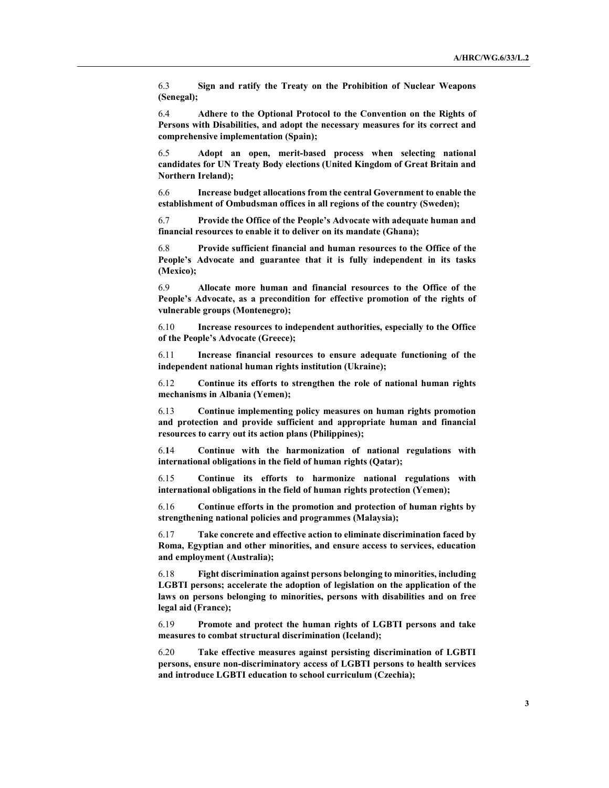6.3 Sign and ratify the Treaty on the Prohibition of Nuclear Weapons (Senegal);

6.4 Adhere to the Optional Protocol to the Convention on the Rights of Persons with Disabilities, and adopt the necessary measures for its correct and comprehensive implementation (Spain);

6.5 Adopt an open, merit-based process when selecting national candidates for UN Treaty Body elections (United Kingdom of Great Britain and Northern Ireland);

6.6 Increase budget allocations from the central Government to enable the establishment of Ombudsman offices in all regions of the country (Sweden);

6.7 Provide the Office of the People's Advocate with adequate human and financial resources to enable it to deliver on its mandate (Ghana);

6.8 Provide sufficient financial and human resources to the Office of the People's Advocate and guarantee that it is fully independent in its tasks (Mexico);

6.9 Allocate more human and financial resources to the Office of the People's Advocate, as a precondition for effective promotion of the rights of vulnerable groups (Montenegro);

6.10 Increase resources to independent authorities, especially to the Office of the People's Advocate (Greece);

6.11 Increase financial resources to ensure adequate functioning of the independent national human rights institution (Ukraine);

6.12 Continue its efforts to strengthen the role of national human rights mechanisms in Albania (Yemen);

6.13 Continue implementing policy measures on human rights promotion and protection and provide sufficient and appropriate human and financial resources to carry out its action plans (Philippines);

6.14 Continue with the harmonization of national regulations with international obligations in the field of human rights (Qatar);

6.15 Continue its efforts to harmonize national regulations with international obligations in the field of human rights protection (Yemen);

6.16 Continue efforts in the promotion and protection of human rights by strengthening national policies and programmes (Malaysia);

6.17 Take concrete and effective action to eliminate discrimination faced by Roma, Egyptian and other minorities, and ensure access to services, education and employment (Australia);

6.18 Fight discrimination against persons belonging to minorities, including LGBTI persons; accelerate the adoption of legislation on the application of the laws on persons belonging to minorities, persons with disabilities and on free legal aid (France);

6.19 Promote and protect the human rights of LGBTI persons and take measures to combat structural discrimination (Iceland);

6.20 Take effective measures against persisting discrimination of LGBTI persons, ensure non-discriminatory access of LGBTI persons to health services and introduce LGBTI education to school curriculum (Czechia);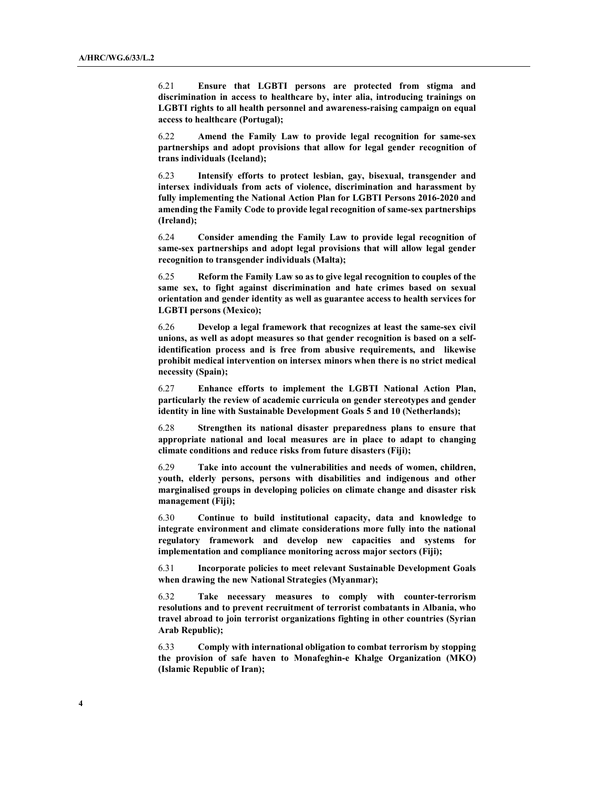6.21 Ensure that LGBTI persons are protected from stigma and discrimination in access to healthcare by, inter alia, introducing trainings on LGBTI rights to all health personnel and awareness-raising campaign on equal access to healthcare (Portugal);

6.22 Amend the Family Law to provide legal recognition for same-sex partnerships and adopt provisions that allow for legal gender recognition of trans individuals (Iceland);

6.23 Intensify efforts to protect lesbian, gay, bisexual, transgender and intersex individuals from acts of violence, discrimination and harassment by fully implementing the National Action Plan for LGBTI Persons 2016-2020 and amending the Family Code to provide legal recognition of same-sex partnerships (Ireland);

6.24 Consider amending the Family Law to provide legal recognition of same-sex partnerships and adopt legal provisions that will allow legal gender recognition to transgender individuals (Malta);

6.25 Reform the Family Law so as to give legal recognition to couples of the same sex, to fight against discrimination and hate crimes based on sexual orientation and gender identity as well as guarantee access to health services for LGBTI persons (Mexico);

6.26 Develop a legal framework that recognizes at least the same-sex civil unions, as well as adopt measures so that gender recognition is based on a selfidentification process and is free from abusive requirements, and likewise prohibit medical intervention on intersex minors when there is no strict medical necessity (Spain);

6.27 Enhance efforts to implement the LGBTI National Action Plan, particularly the review of academic curricula on gender stereotypes and gender identity in line with Sustainable Development Goals 5 and 10 (Netherlands);

6.28 Strengthen its national disaster preparedness plans to ensure that appropriate national and local measures are in place to adapt to changing climate conditions and reduce risks from future disasters (Fiji);

6.29 Take into account the vulnerabilities and needs of women, children, youth, elderly persons, persons with disabilities and indigenous and other marginalised groups in developing policies on climate change and disaster risk management (Fiji);

6.30 Continue to build institutional capacity, data and knowledge to integrate environment and climate considerations more fully into the national regulatory framework and develop new capacities and systems for implementation and compliance monitoring across major sectors (Fiji);

6.31 Incorporate policies to meet relevant Sustainable Development Goals when drawing the new National Strategies (Myanmar);

6.32 Take necessary measures to comply with counter-terrorism resolutions and to prevent recruitment of terrorist combatants in Albania, who travel abroad to join terrorist organizations fighting in other countries (Syrian Arab Republic);

6.33 Comply with international obligation to combat terrorism by stopping the provision of safe haven to Monafeghin-e Khalge Organization (MKO) (Islamic Republic of Iran);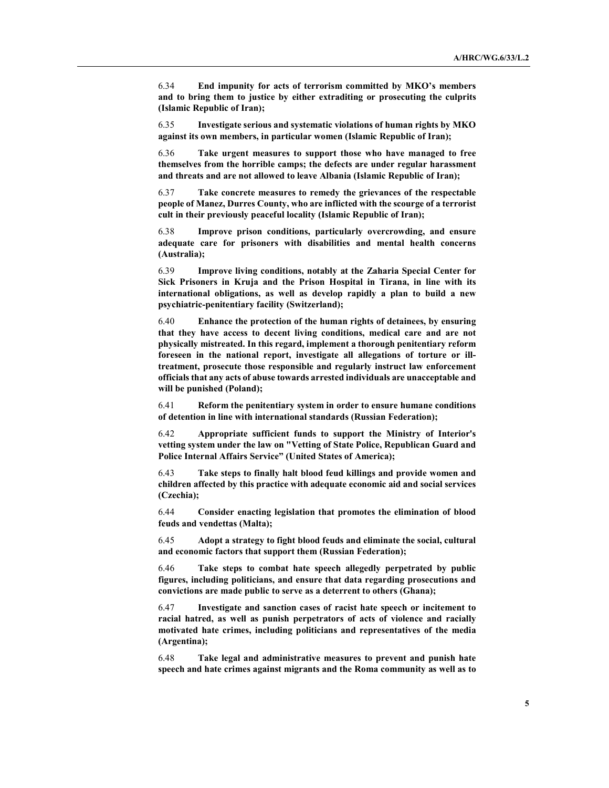6.34 End impunity for acts of terrorism committed by MKO's members and to bring them to justice by either extraditing or prosecuting the culprits (Islamic Republic of Iran);

6.35 Investigate serious and systematic violations of human rights by MKO against its own members, in particular women (Islamic Republic of Iran);

6.36 Take urgent measures to support those who have managed to free themselves from the horrible camps; the defects are under regular harassment and threats and are not allowed to leave Albania (Islamic Republic of Iran);

6.37 Take concrete measures to remedy the grievances of the respectable people of Manez, Durres County, who are inflicted with the scourge of a terrorist cult in their previously peaceful locality (Islamic Republic of Iran);

6.38 Improve prison conditions, particularly overcrowding, and ensure adequate care for prisoners with disabilities and mental health concerns (Australia);

6.39 Improve living conditions, notably at the Zaharia Special Center for Sick Prisoners in Kruja and the Prison Hospital in Tirana, in line with its international obligations, as well as develop rapidly a plan to build a new psychiatric-penitentiary facility (Switzerland);

6.40 Enhance the protection of the human rights of detainees, by ensuring that they have access to decent living conditions, medical care and are not physically mistreated. In this regard, implement a thorough penitentiary reform foreseen in the national report, investigate all allegations of torture or illtreatment, prosecute those responsible and regularly instruct law enforcement officials that any acts of abuse towards arrested individuals are unacceptable and will be punished (Poland);

6.41 Reform the penitentiary system in order to ensure humane conditions of detention in line with international standards (Russian Federation);

6.42 Appropriate sufficient funds to support the Ministry of Interior's vetting system under the law on "Vetting of State Police, Republican Guard and Police Internal Affairs Service" (United States of America);

6.43 Take steps to finally halt blood feud killings and provide women and children affected by this practice with adequate economic aid and social services (Czechia);

6.44 Consider enacting legislation that promotes the elimination of blood feuds and vendettas (Malta);

6.45 Adopt a strategy to fight blood feuds and eliminate the social, cultural and economic factors that support them (Russian Federation);

6.46 Take steps to combat hate speech allegedly perpetrated by public figures, including politicians, and ensure that data regarding prosecutions and convictions are made public to serve as a deterrent to others (Ghana);

6.47 Investigate and sanction cases of racist hate speech or incitement to racial hatred, as well as punish perpetrators of acts of violence and racially motivated hate crimes, including politicians and representatives of the media (Argentina);

6.48 Take legal and administrative measures to prevent and punish hate speech and hate crimes against migrants and the Roma community as well as to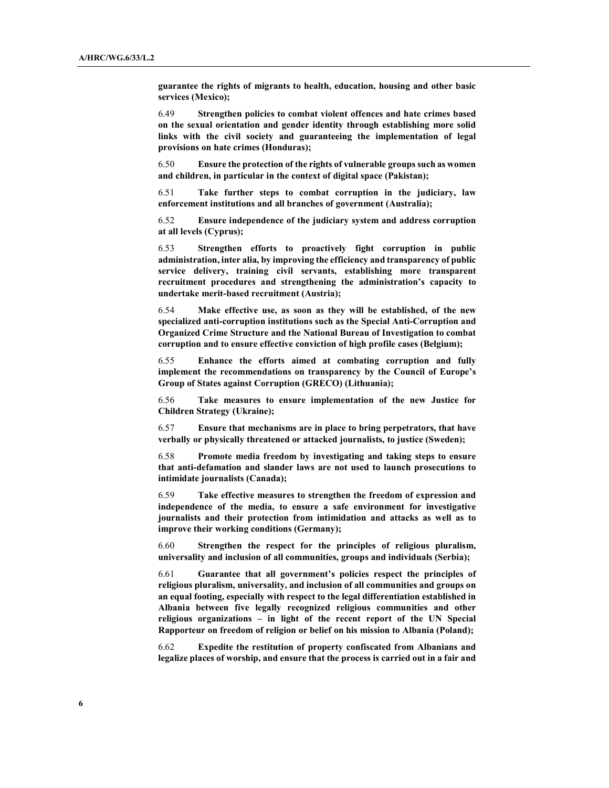guarantee the rights of migrants to health, education, housing and other basic services (Mexico);

6.49 Strengthen policies to combat violent offences and hate crimes based on the sexual orientation and gender identity through establishing more solid links with the civil society and guaranteeing the implementation of legal provisions on hate crimes (Honduras);

6.50 Ensure the protection of the rights of vulnerable groups such as women and children, in particular in the context of digital space (Pakistan);

6.51 Take further steps to combat corruption in the judiciary, law enforcement institutions and all branches of government (Australia);

6.52 Ensure independence of the judiciary system and address corruption at all levels (Cyprus);

6.53 Strengthen efforts to proactively fight corruption in public administration, inter alia, by improving the efficiency and transparency of public service delivery, training civil servants, establishing more transparent recruitment procedures and strengthening the administration's capacity to undertake merit-based recruitment (Austria);

6.54 Make effective use, as soon as they will be established, of the new specialized anti-corruption institutions such as the Special Anti-Corruption and Organized Crime Structure and the National Bureau of Investigation to combat corruption and to ensure effective conviction of high profile cases (Belgium);

6.55 Enhance the efforts aimed at combating corruption and fully implement the recommendations on transparency by the Council of Europe's Group of States against Corruption (GRECO) (Lithuania);

6.56 Take measures to ensure implementation of the new Justice for Children Strategy (Ukraine);

6.57 Ensure that mechanisms are in place to bring perpetrators, that have verbally or physically threatened or attacked journalists, to justice (Sweden);

6.58 Promote media freedom by investigating and taking steps to ensure that anti-defamation and slander laws are not used to launch prosecutions to intimidate journalists (Canada);

6.59 Take effective measures to strengthen the freedom of expression and independence of the media, to ensure a safe environment for investigative journalists and their protection from intimidation and attacks as well as to improve their working conditions (Germany);

6.60 Strengthen the respect for the principles of religious pluralism, universality and inclusion of all communities, groups and individuals (Serbia);

6.61 Guarantee that all government's policies respect the principles of religious pluralism, universality, and inclusion of all communities and groups on an equal footing, especially with respect to the legal differentiation established in Albania between five legally recognized religious communities and other religious organizations – in light of the recent report of the UN Special Rapporteur on freedom of religion or belief on his mission to Albania (Poland);

6.62 Expedite the restitution of property confiscated from Albanians and legalize places of worship, and ensure that the process is carried out in a fair and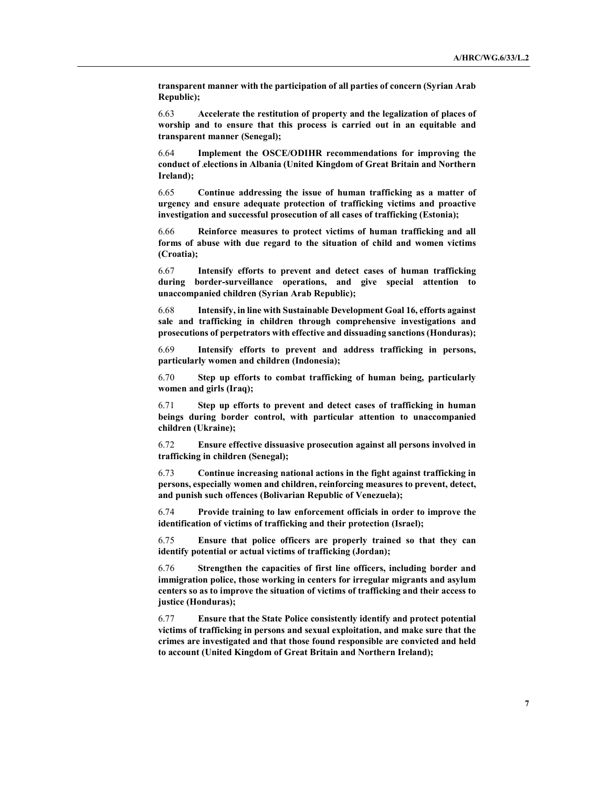transparent manner with the participation of all parties of concern (Syrian Arab Republic);

6.63 Accelerate the restitution of property and the legalization of places of worship and to ensure that this process is carried out in an equitable and transparent manner (Senegal);

6.64 Implement the OSCE/ODIHR recommendations for improving the conduct of elections in Albania (United Kingdom of Great Britain and Northern Ireland);

6.65 Continue addressing the issue of human trafficking as a matter of urgency and ensure adequate protection of trafficking victims and proactive investigation and successful prosecution of all cases of trafficking (Estonia);

6.66 Reinforce measures to protect victims of human trafficking and all forms of abuse with due regard to the situation of child and women victims (Croatia);

6.67 Intensify efforts to prevent and detect cases of human trafficking during border-surveillance operations, and give special attention to unaccompanied children (Syrian Arab Republic);

6.68 Intensify, in line with Sustainable Development Goal 16, efforts against sale and trafficking in children through comprehensive investigations and prosecutions of perpetrators with effective and dissuading sanctions (Honduras);

6.69 Intensify efforts to prevent and address trafficking in persons, particularly women and children (Indonesia);

6.70 Step up efforts to combat trafficking of human being, particularly women and girls (Iraq);

6.71 Step up efforts to prevent and detect cases of trafficking in human beings during border control, with particular attention to unaccompanied children (Ukraine);

6.72 Ensure effective dissuasive prosecution against all persons involved in trafficking in children (Senegal);

6.73 Continue increasing national actions in the fight against trafficking in persons, especially women and children, reinforcing measures to prevent, detect, and punish such offences (Bolivarian Republic of Venezuela);

6.74 Provide training to law enforcement officials in order to improve the identification of victims of trafficking and their protection (Israel);

6.75 Ensure that police officers are properly trained so that they can identify potential or actual victims of trafficking (Jordan);

6.76 Strengthen the capacities of first line officers, including border and immigration police, those working in centers for irregular migrants and asylum centers so as to improve the situation of victims of trafficking and their access to justice (Honduras);

6.77 Ensure that the State Police consistently identify and protect potential victims of trafficking in persons and sexual exploitation, and make sure that the crimes are investigated and that those found responsible are convicted and held to account (United Kingdom of Great Britain and Northern Ireland);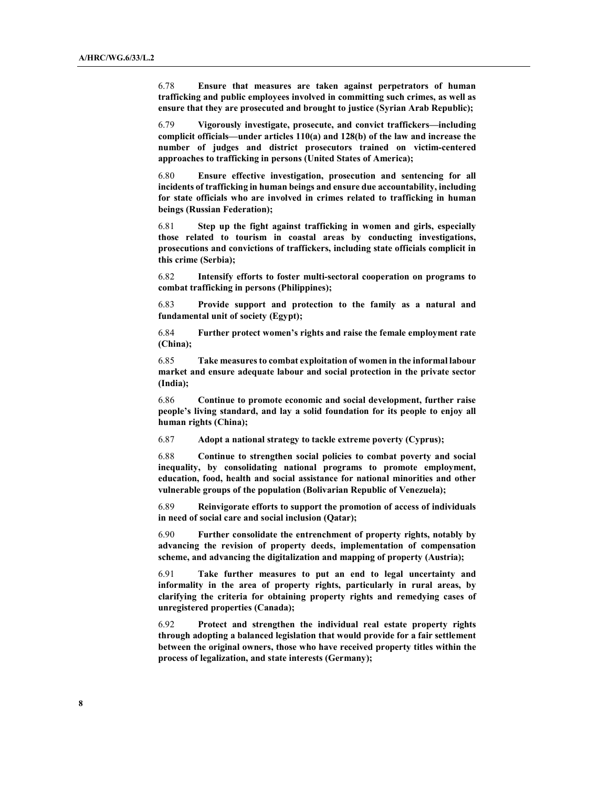6.78 Ensure that measures are taken against perpetrators of human trafficking and public employees involved in committing such crimes, as well as ensure that they are prosecuted and brought to justice (Syrian Arab Republic);

6.79 Vigorously investigate, prosecute, and convict traffickers—including complicit officials—under articles 110(a) and 128(b) of the law and increase the number of judges and district prosecutors trained on victim-centered approaches to trafficking in persons (United States of America);

6.80 Ensure effective investigation, prosecution and sentencing for all incidents of trafficking in human beings and ensure due accountability, including for state officials who are involved in crimes related to trafficking in human beings (Russian Federation);

6.81 Step up the fight against trafficking in women and girls, especially those related to tourism in coastal areas by conducting investigations, prosecutions and convictions of traffickers, including state officials complicit in this crime (Serbia);

6.82 Intensify efforts to foster multi-sectoral cooperation on programs to combat trafficking in persons (Philippines);

6.83 Provide support and protection to the family as a natural and fundamental unit of society (Egypt);

6.84 Further protect women's rights and raise the female employment rate (China);

6.85 Take measures to combat exploitation of women in the informal labour market and ensure adequate labour and social protection in the private sector (India);

6.86 Continue to promote economic and social development, further raise people's living standard, and lay a solid foundation for its people to enjoy all human rights (China);

6.87 Adopt a national strategy to tackle extreme poverty (Cyprus);

6.88 Continue to strengthen social policies to combat poverty and social inequality, by consolidating national programs to promote employment, education, food, health and social assistance for national minorities and other vulnerable groups of the population (Bolivarian Republic of Venezuela);

6.89 Reinvigorate efforts to support the promotion of access of individuals in need of social care and social inclusion (Qatar);

6.90 Further consolidate the entrenchment of property rights, notably by advancing the revision of property deeds, implementation of compensation scheme, and advancing the digitalization and mapping of property (Austria);

6.91 Take further measures to put an end to legal uncertainty and informality in the area of property rights, particularly in rural areas, by clarifying the criteria for obtaining property rights and remedying cases of unregistered properties (Canada);

6.92 Protect and strengthen the individual real estate property rights through adopting a balanced legislation that would provide for a fair settlement between the original owners, those who have received property titles within the process of legalization, and state interests (Germany);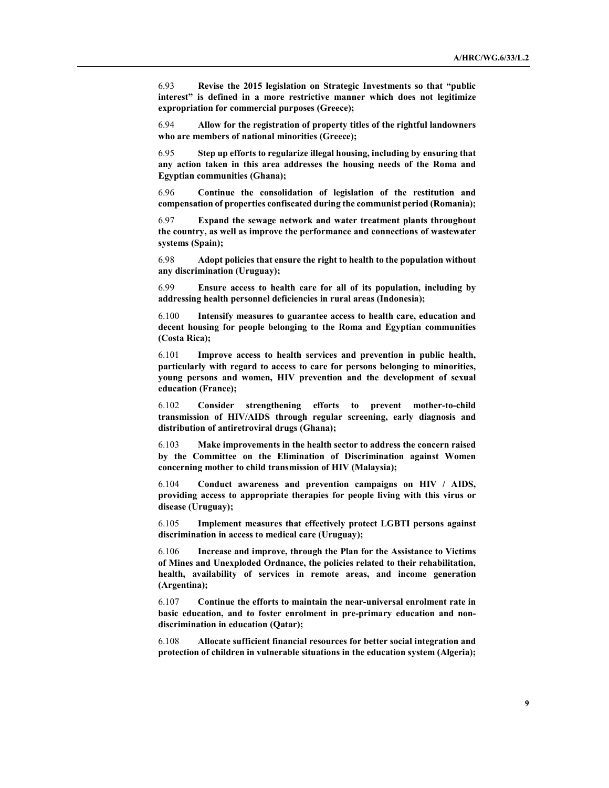6.93 Revise the 2015 legislation on Strategic Investments so that "public interest" is defined in a more restrictive manner which does not legitimize expropriation for commercial purposes (Greece);

6.94 Allow for the registration of property titles of the rightful landowners who are members of national minorities (Greece);

6.95 Step up efforts to regularize illegal housing, including by ensuring that any action taken in this area addresses the housing needs of the Roma and Egyptian communities (Ghana);

6.96 Continue the consolidation of legislation of the restitution and compensation of properties confiscated during the communist period (Romania);

6.97 Expand the sewage network and water treatment plants throughout the country, as well as improve the performance and connections of wastewater systems (Spain);

6.98 Adopt policies that ensure the right to health to the population without any discrimination (Uruguay);

6.99 Ensure access to health care for all of its population, including by addressing health personnel deficiencies in rural areas (Indonesia);

6.100 Intensify measures to guarantee access to health care, education and decent housing for people belonging to the Roma and Egyptian communities (Costa Rica);

6.101 Improve access to health services and prevention in public health, particularly with regard to access to care for persons belonging to minorities, young persons and women, HIV prevention and the development of sexual education (France);

6.102 Consider strengthening efforts to prevent mother-to-child transmission of HIV/AIDS through regular screening, early diagnosis and distribution of antiretroviral drugs (Ghana);

6.103 Make improvements in the health sector to address the concern raised by the Committee on the Elimination of Discrimination against Women concerning mother to child transmission of HIV (Malaysia);

6.104 Conduct awareness and prevention campaigns on HIV / AIDS, providing access to appropriate therapies for people living with this virus or disease (Uruguay);

6.105 Implement measures that effectively protect LGBTI persons against discrimination in access to medical care (Uruguay);

6.106 Increase and improve, through the Plan for the Assistance to Victims of Mines and Unexploded Ordnance, the policies related to their rehabilitation, health, availability of services in remote areas, and income generation (Argentina);

6.107 Continue the efforts to maintain the near-universal enrolment rate in basic education, and to foster enrolment in pre-primary education and nondiscrimination in education (Qatar);

6.108 Allocate sufficient financial resources for better social integration and protection of children in vulnerable situations in the education system (Algeria);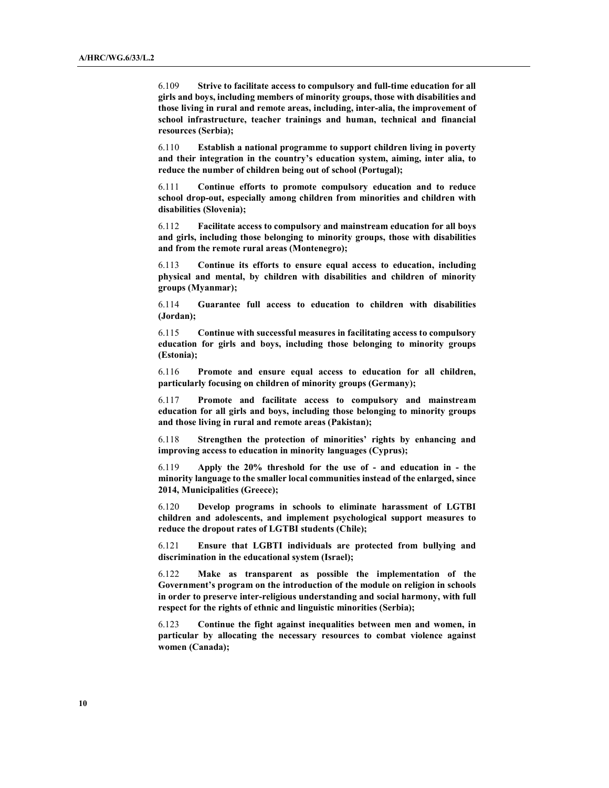6.109 Strive to facilitate access to compulsory and full-time education for all girls and boys, including members of minority groups, those with disabilities and those living in rural and remote areas, including, inter-alia, the improvement of school infrastructure, teacher trainings and human, technical and financial resources (Serbia);

6.110 Establish a national programme to support children living in poverty and their integration in the country's education system, aiming, inter alia, to reduce the number of children being out of school (Portugal);

6.111 Continue efforts to promote compulsory education and to reduce school drop-out, especially among children from minorities and children with disabilities (Slovenia);

6.112 Facilitate access to compulsory and mainstream education for all boys and girls, including those belonging to minority groups, those with disabilities and from the remote rural areas (Montenegro);

6.113 Continue its efforts to ensure equal access to education, including physical and mental, by children with disabilities and children of minority groups (Myanmar);

6.114 Guarantee full access to education to children with disabilities (Jordan);

6.115 Continue with successful measures in facilitating access to compulsory education for girls and boys, including those belonging to minority groups (Estonia);

6.116 Promote and ensure equal access to education for all children, particularly focusing on children of minority groups (Germany);

6.117 Promote and facilitate access to compulsory and mainstream education for all girls and boys, including those belonging to minority groups and those living in rural and remote areas (Pakistan);

6.118 Strengthen the protection of minorities' rights by enhancing and improving access to education in minority languages (Cyprus);

6.119 Apply the 20% threshold for the use of - and education in - the minority language to the smaller local communities instead of the enlarged, since 2014, Municipalities (Greece);

6.120 Develop programs in schools to eliminate harassment of LGTBI children and adolescents, and implement psychological support measures to reduce the dropout rates of LGTBI students (Chile);

6.121 Ensure that LGBTI individuals are protected from bullying and discrimination in the educational system (Israel);

6.122 Make as transparent as possible the implementation of the Government's program on the introduction of the module on religion in schools in order to preserve inter-religious understanding and social harmony, with full respect for the rights of ethnic and linguistic minorities (Serbia);

6.123 Continue the fight against inequalities between men and women, in particular by allocating the necessary resources to combat violence against women (Canada);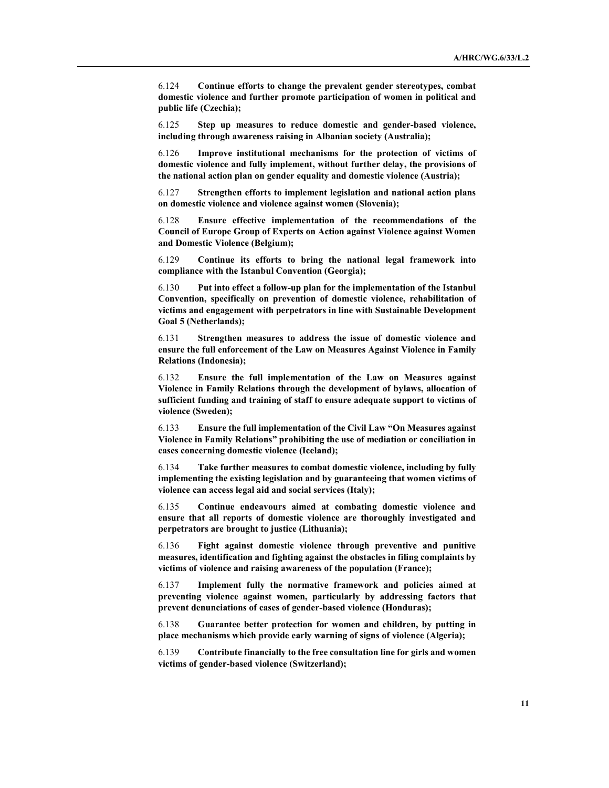6.124 Continue efforts to change the prevalent gender stereotypes, combat domestic violence and further promote participation of women in political and public life (Czechia);

6.125 Step up measures to reduce domestic and gender-based violence, including through awareness raising in Albanian society (Australia);

6.126 Improve institutional mechanisms for the protection of victims of domestic violence and fully implement, without further delay, the provisions of the national action plan on gender equality and domestic violence (Austria);

6.127 Strengthen efforts to implement legislation and national action plans on domestic violence and violence against women (Slovenia);

6.128 Ensure effective implementation of the recommendations of the Council of Europe Group of Experts on Action against Violence against Women and Domestic Violence (Belgium);

6.129 Continue its efforts to bring the national legal framework into compliance with the Istanbul Convention (Georgia);

6.130 Put into effect a follow-up plan for the implementation of the Istanbul Convention, specifically on prevention of domestic violence, rehabilitation of victims and engagement with perpetrators in line with Sustainable Development Goal 5 (Netherlands);

6.131 Strengthen measures to address the issue of domestic violence and ensure the full enforcement of the Law on Measures Against Violence in Family Relations (Indonesia);

6.132 Ensure the full implementation of the Law on Measures against Violence in Family Relations through the development of bylaws, allocation of sufficient funding and training of staff to ensure adequate support to victims of violence (Sweden);

6.133 Ensure the full implementation of the Civil Law "On Measures against Violence in Family Relations" prohibiting the use of mediation or conciliation in cases concerning domestic violence (Iceland);

6.134 Take further measures to combat domestic violence, including by fully implementing the existing legislation and by guaranteeing that women victims of violence can access legal aid and social services (Italy);

6.135 Continue endeavours aimed at combating domestic violence and ensure that all reports of domestic violence are thoroughly investigated and perpetrators are brought to justice (Lithuania);

6.136 Fight against domestic violence through preventive and punitive measures, identification and fighting against the obstacles in filing complaints by victims of violence and raising awareness of the population (France);

6.137 Implement fully the normative framework and policies aimed at preventing violence against women, particularly by addressing factors that prevent denunciations of cases of gender-based violence (Honduras);

6.138 Guarantee better protection for women and children, by putting in place mechanisms which provide early warning of signs of violence (Algeria);

6.139 Contribute financially to the free consultation line for girls and women victims of gender-based violence (Switzerland);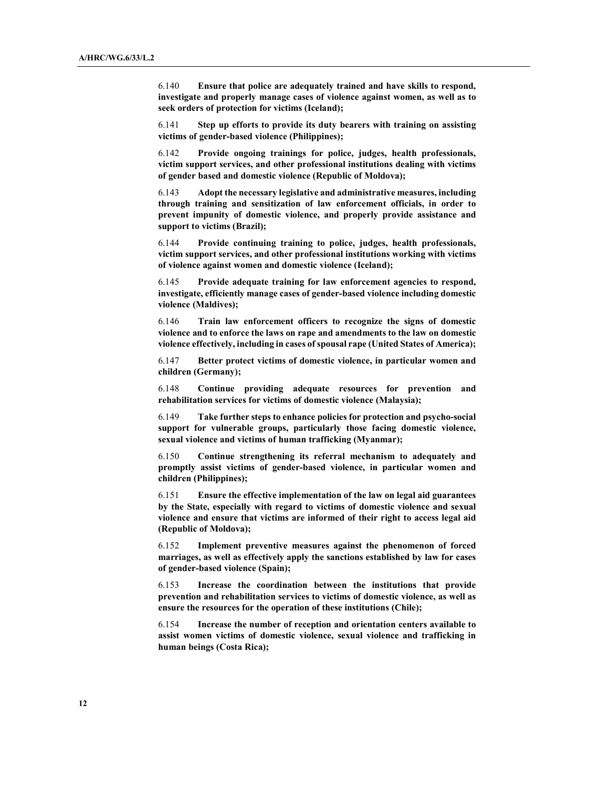6.140 Ensure that police are adequately trained and have skills to respond, investigate and properly manage cases of violence against women, as well as to seek orders of protection for victims (Iceland);

6.141 Step up efforts to provide its duty bearers with training on assisting victims of gender-based violence (Philippines);

6.142 Provide ongoing trainings for police, judges, health professionals, victim support services, and other professional institutions dealing with victims of gender based and domestic violence (Republic of Moldova);

6.143 Adopt the necessary legislative and administrative measures, including through training and sensitization of law enforcement officials, in order to prevent impunity of domestic violence, and properly provide assistance and support to victims (Brazil);

6.144 Provide continuing training to police, judges, health professionals, victim support services, and other professional institutions working with victims of violence against women and domestic violence (Iceland);

6.145 Provide adequate training for law enforcement agencies to respond, investigate, efficiently manage cases of gender-based violence including domestic violence (Maldives);

6.146 Train law enforcement officers to recognize the signs of domestic violence and to enforce the laws on rape and amendments to the law on domestic violence effectively, including in cases of spousal rape (United States of America);

6.147 Better protect victims of domestic violence, in particular women and children (Germany);

6.148 Continue providing adequate resources for prevention and rehabilitation services for victims of domestic violence (Malaysia);

6.149 Take further steps to enhance policies for protection and psycho-social support for vulnerable groups, particularly those facing domestic violence, sexual violence and victims of human trafficking (Myanmar);

6.150 Continue strengthening its referral mechanism to adequately and promptly assist victims of gender-based violence, in particular women and children (Philippines);

6.151 Ensure the effective implementation of the law on legal aid guarantees by the State, especially with regard to victims of domestic violence and sexual violence and ensure that victims are informed of their right to access legal aid (Republic of Moldova);

6.152 Implement preventive measures against the phenomenon of forced marriages, as well as effectively apply the sanctions established by law for cases of gender-based violence (Spain);

6.153 Increase the coordination between the institutions that provide prevention and rehabilitation services to victims of domestic violence, as well as ensure the resources for the operation of these institutions (Chile);

6.154 Increase the number of reception and orientation centers available to assist women victims of domestic violence, sexual violence and trafficking in human beings (Costa Rica);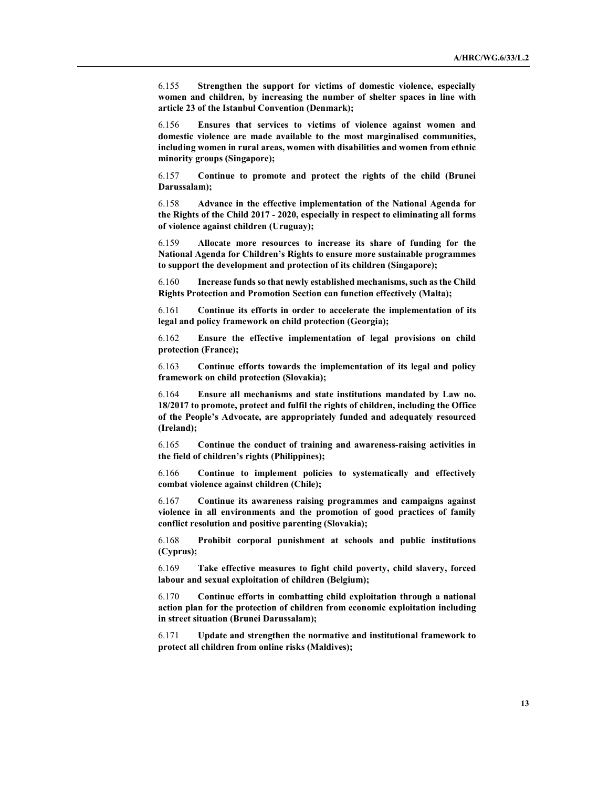6.155 Strengthen the support for victims of domestic violence, especially women and children, by increasing the number of shelter spaces in line with article 23 of the Istanbul Convention (Denmark);

6.156 Ensures that services to victims of violence against women and domestic violence are made available to the most marginalised communities, including women in rural areas, women with disabilities and women from ethnic minority groups (Singapore);

6.157 Continue to promote and protect the rights of the child (Brunei Darussalam);

6.158 Advance in the effective implementation of the National Agenda for the Rights of the Child 2017 - 2020, especially in respect to eliminating all forms of violence against children (Uruguay);

6.159 Allocate more resources to increase its share of funding for the National Agenda for Children's Rights to ensure more sustainable programmes to support the development and protection of its children (Singapore);

6.160 Increase funds so that newly established mechanisms, such as the Child Rights Protection and Promotion Section can function effectively (Malta);

6.161 Continue its efforts in order to accelerate the implementation of its legal and policy framework on child protection (Georgia);

6.162 Ensure the effective implementation of legal provisions on child protection (France);

6.163 Continue efforts towards the implementation of its legal and policy framework on child protection (Slovakia);

6.164 Ensure all mechanisms and state institutions mandated by Law no. 18/2017 to promote, protect and fulfil the rights of children, including the Office of the People's Advocate, are appropriately funded and adequately resourced (Ireland);

6.165 Continue the conduct of training and awareness-raising activities in the field of children's rights (Philippines);

6.166 Continue to implement policies to systematically and effectively combat violence against children (Chile);

6.167 Continue its awareness raising programmes and campaigns against violence in all environments and the promotion of good practices of family conflict resolution and positive parenting (Slovakia);

6.168 Prohibit corporal punishment at schools and public institutions (Cyprus);

6.169 Take effective measures to fight child poverty, child slavery, forced labour and sexual exploitation of children (Belgium);

6.170 Continue efforts in combatting child exploitation through a national action plan for the protection of children from economic exploitation including in street situation (Brunei Darussalam);

6.171 Update and strengthen the normative and institutional framework to protect all children from online risks (Maldives);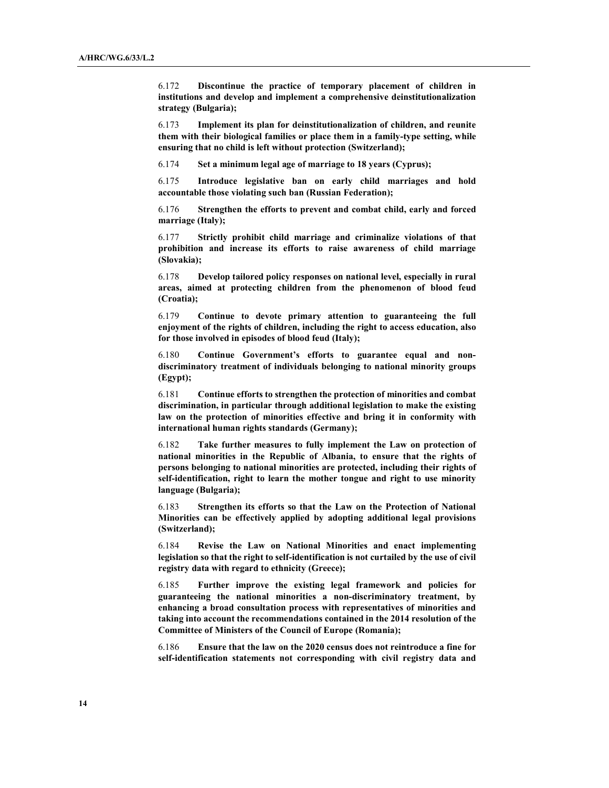6.172 Discontinue the practice of temporary placement of children in institutions and develop and implement a comprehensive deinstitutionalization strategy (Bulgaria);

6.173 Implement its plan for deinstitutionalization of children, and reunite them with their biological families or place them in a family-type setting, while ensuring that no child is left without protection (Switzerland);

6.174 Set a minimum legal age of marriage to 18 years (Cyprus);

6.175 Introduce legislative ban on early child marriages and hold accountable those violating such ban (Russian Federation);

6.176 Strengthen the efforts to prevent and combat child, early and forced marriage (Italy);

6.177 Strictly prohibit child marriage and criminalize violations of that prohibition and increase its efforts to raise awareness of child marriage (Slovakia);

6.178 Develop tailored policy responses on national level, especially in rural areas, aimed at protecting children from the phenomenon of blood feud (Croatia);

6.179 Continue to devote primary attention to guaranteeing the full enjoyment of the rights of children, including the right to access education, also for those involved in episodes of blood feud (Italy);

6.180 Continue Government's efforts to guarantee equal and nondiscriminatory treatment of individuals belonging to national minority groups (Egypt);

6.181 Continue efforts to strengthen the protection of minorities and combat discrimination, in particular through additional legislation to make the existing law on the protection of minorities effective and bring it in conformity with international human rights standards (Germany);

6.182 Take further measures to fully implement the Law on protection of national minorities in the Republic of Albania, to ensure that the rights of persons belonging to national minorities are protected, including their rights of self-identification, right to learn the mother tongue and right to use minority language (Bulgaria);

6.183 Strengthen its efforts so that the Law on the Protection of National Minorities can be effectively applied by adopting additional legal provisions (Switzerland);

6.184 Revise the Law on National Minorities and enact implementing legislation so that the right to self-identification is not curtailed by the use of civil registry data with regard to ethnicity (Greece);

6.185 Further improve the existing legal framework and policies for guaranteeing the national minorities a non-discriminatory treatment, by enhancing a broad consultation process with representatives of minorities and taking into account the recommendations contained in the 2014 resolution of the Committee of Ministers of the Council of Europe (Romania);

6.186 Ensure that the law on the 2020 census does not reintroduce a fine for self-identification statements not corresponding with civil registry data and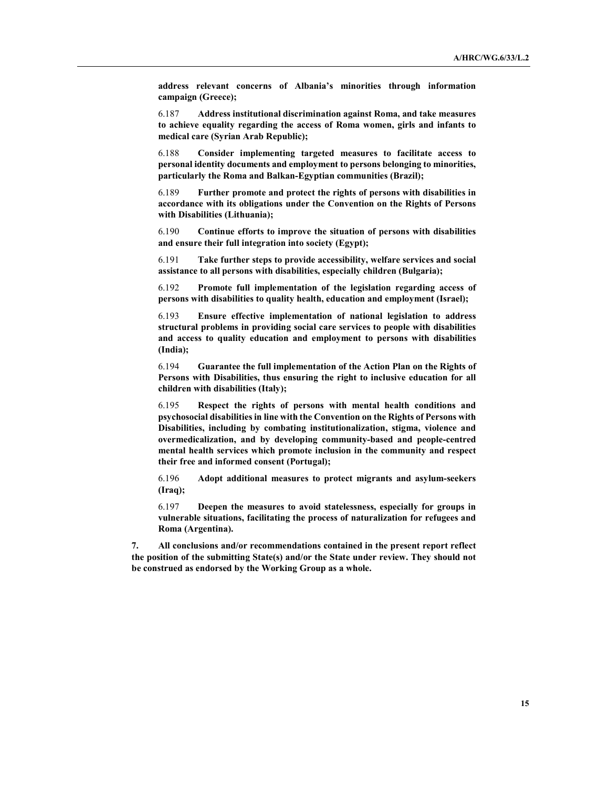address relevant concerns of Albania's minorities through information campaign (Greece);

6.187 Address institutional discrimination against Roma, and take measures to achieve equality regarding the access of Roma women, girls and infants to medical care (Syrian Arab Republic);

6.188 Consider implementing targeted measures to facilitate access to personal identity documents and employment to persons belonging to minorities, particularly the Roma and Balkan-Egyptian communities (Brazil);

6.189 Further promote and protect the rights of persons with disabilities in accordance with its obligations under the Convention on the Rights of Persons with Disabilities (Lithuania);

6.190 Continue efforts to improve the situation of persons with disabilities and ensure their full integration into society (Egypt);

6.191 Take further steps to provide accessibility, welfare services and social assistance to all persons with disabilities, especially children (Bulgaria);

6.192 Promote full implementation of the legislation regarding access of persons with disabilities to quality health, education and employment (Israel);

6.193 Ensure effective implementation of national legislation to address structural problems in providing social care services to people with disabilities and access to quality education and employment to persons with disabilities (India);

6.194 Guarantee the full implementation of the Action Plan on the Rights of Persons with Disabilities, thus ensuring the right to inclusive education for all children with disabilities (Italy);

6.195 Respect the rights of persons with mental health conditions and psychosocial disabilities in line with the Convention on the Rights of Persons with Disabilities, including by combating institutionalization, stigma, violence and overmedicalization, and by developing community-based and people-centred mental health services which promote inclusion in the community and respect their free and informed consent (Portugal);

6.196 Adopt additional measures to protect migrants and asylum-seekers (Iraq);

6.197 Deepen the measures to avoid statelessness, especially for groups in vulnerable situations, facilitating the process of naturalization for refugees and Roma (Argentina).

7. All conclusions and/or recommendations contained in the present report reflect the position of the submitting State(s) and/or the State under review. They should not be construed as endorsed by the Working Group as a whole.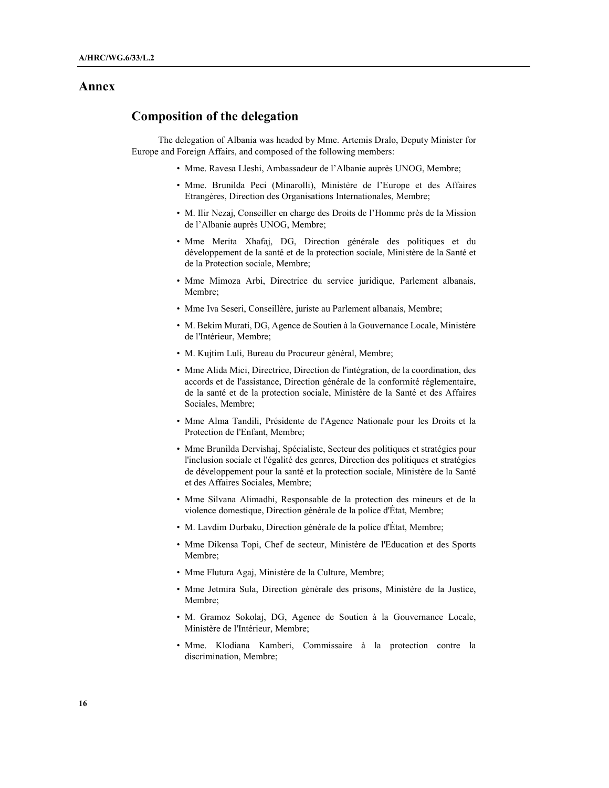## Annex

## Composition of the delegation

The delegation of Albania was headed by Mme. Artemis Dralo, Deputy Minister for Europe and Foreign Affairs, and composed of the following members:

- Mme. Ravesa Lleshi, Ambassadeur de l'Albanie auprès UNOG, Membre;
- Mme. Brunilda Peci (Minarolli), Ministère de l'Europe et des Affaires Etrangères, Direction des Organisations Internationales, Membre;
- M. Ilir Nezaj, Conseiller en charge des Droits de l'Homme près de la Mission de l'Albanie auprès UNOG, Membre;
- Mme Merita Xhafaj, DG, Direction générale des politiques et du développement de la santé et de la protection sociale, Ministère de la Santé et de la Protection sociale, Membre;
- Mme Mimoza Arbi, Directrice du service juridique, Parlement albanais, Membre;
- Mme Iva Seseri, Conseillère, juriste au Parlement albanais, Membre;
- M. Bekim Murati, DG, Agence de Soutien à la Gouvernance Locale, Ministère de l'Intérieur, Membre;
- M. Kujtim Luli, Bureau du Procureur général, Membre;
- Mme Alida Mici, Directrice, Direction de l'intégration, de la coordination, des accords et de l'assistance, Direction générale de la conformité réglementaire, de la santé et de la protection sociale, Ministère de la Santé et des Affaires Sociales, Membre;
- Mme Alma Tandili, Présidente de l'Agence Nationale pour les Droits et la Protection de l'Enfant, Membre;
- Mme Brunilda Dervishaj, Spécialiste, Secteur des politiques et stratégies pour l'inclusion sociale et l'égalité des genres, Direction des politiques et stratégies de développement pour la santé et la protection sociale, Ministère de la Santé et des Affaires Sociales, Membre;
- Mme Silvana Alimadhi, Responsable de la protection des mineurs et de la violence domestique, Direction générale de la police d'État, Membre;
- M. Lavdim Durbaku, Direction générale de la police d'État, Membre;
- Mme Dikensa Topi, Chef de secteur, Ministère de l'Education et des Sports Membre;
- Mme Flutura Agaj, Ministère de la Culture, Membre;
- Mme Jetmira Sula, Direction générale des prisons, Ministère de la Justice, Membre;
- M. Gramoz Sokolaj, DG, Agence de Soutien à la Gouvernance Locale, Ministère de l'Intérieur, Membre;
- Mme. Klodiana Kamberi, Commissaire à la protection contre la discrimination, Membre;